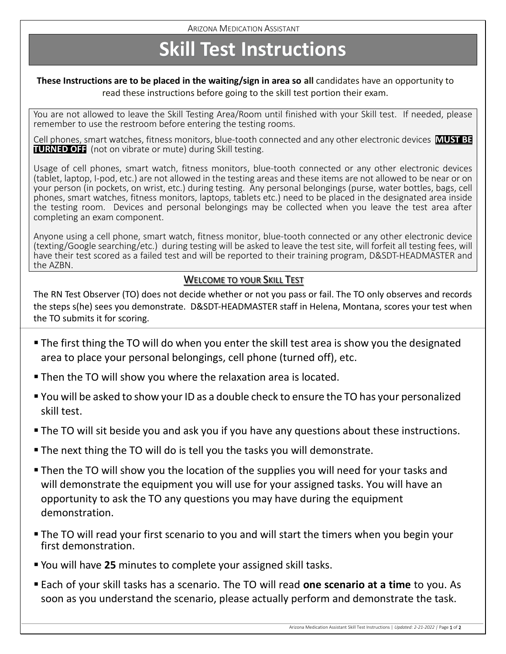## **Skill Test Instructions**

#### **These Instructions are to be placed in the waiting/sign in area so all** candidates have an opportunity to read these instructions before going to the skill test portion their exam.

You are not allowed to leave the Skill Testing Area/Room until finished with your Skill test. If needed, please remember to use the restroom before entering the testing rooms.

Cell phones, smart watches, fitness monitors, blue-tooth connected and any other electronic devices **MUST BE TURNED OFF** (not on vibrate or mute) during Skill testing.

Usage of cell phones, smart watch, fitness monitors, blue-tooth connected or any other electronic devices (tablet, laptop, I-pod, etc.) are not allowed in the testing areas and these items are not allowed to be near or on your person (in pockets, on wrist, etc.) during testing. Any personal belongings (purse, water bottles, bags, cell phones, smart watches, fitness monitors, laptops, tablets etc.) need to be placed in the designated area inside the testing room. Devices and personal belongings may be collected when you leave the test area after completing an exam component.

Anyone using a cell phone, smart watch, fitness monitor, blue-tooth connected or any other electronic device (texting/Google searching/etc.) during testing will be asked to leave the test site, will forfeit all testing fees, will have their test scored as a failed test and will be reported to their training program, D&SDT-HEADMASTER and the AZBN.

#### WELCOME TO YOUR SKILL TEST

The RN Test Observer (TO) does not decide whether or not you pass or fail. The TO only observes and records the steps s(he) sees you demonstrate. D&SDT-HEADMASTER staff in Helena, Montana, scores your test when the TO submits it for scoring.

- **The first thing the TO will do when you enter the skill test area is show you the designated** area to place your personal belongings, cell phone (turned off), etc.
- **Then the TO will show you where the relaxation area is located.**
- You will be asked to show your ID as a double check to ensure the TO has your personalized skill test.
- The TO will sit beside you and ask you if you have any questions about these instructions.
- **The next thing the TO will do is tell you the tasks you will demonstrate.**
- **Then the TO will show you the location of the supplies you will need for your tasks and** will demonstrate the equipment you will use for your assigned tasks. You will have an opportunity to ask the TO any questions you may have during the equipment demonstration.
- The TO will read your first scenario to you and will start the timers when you begin your first demonstration.
- You will have 25 minutes to complete your assigned skill tasks.
- Each of your skill tasks has a scenario. The TO will read **one scenario at a time** to you. As soon as you understand the scenario, please actually perform and demonstrate the task.